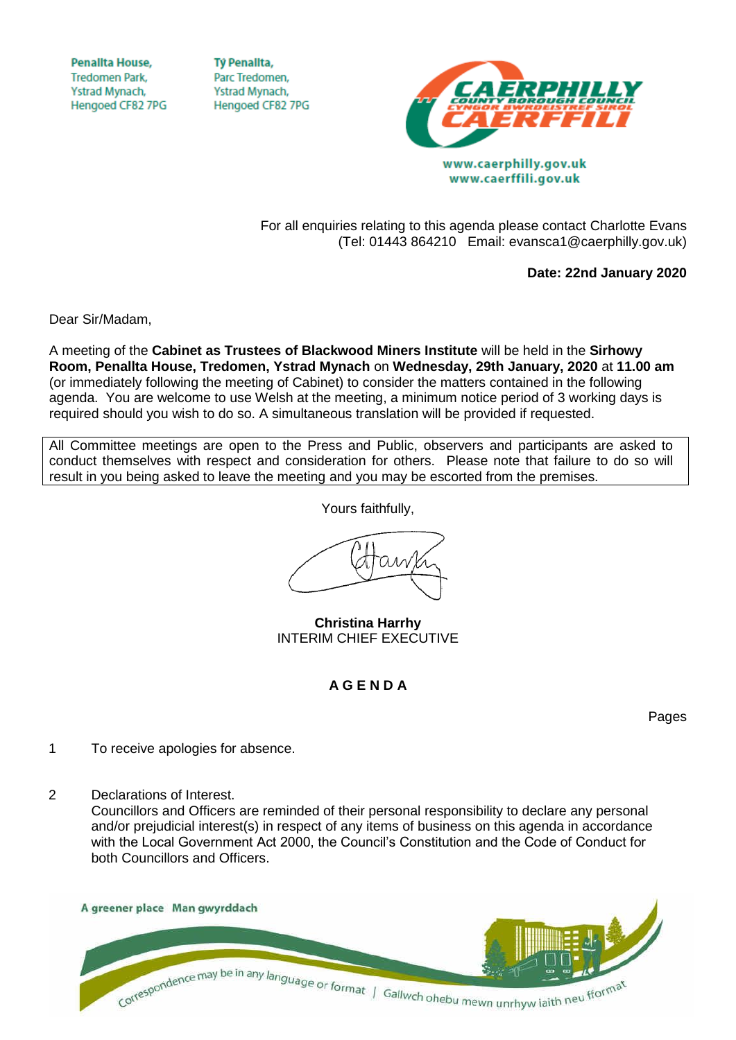**Penallta House, Tredomen Park.** Ystrad Mynach, Hengoed CF82 7PG

**TV Penallta,** Parc Tredomen. Ystrad Mynach, Hengoed CF82 7PG



For all enquiries relating to this agenda please contact Charlotte Evans

(Tel: 01443 864210 Email: evansca1@caerphilly.gov.uk)

www.caerffili.gov.uk

**Date: 22nd January 2020**

Dear Sir/Madam,

A meeting of the **Cabinet as Trustees of Blackwood Miners Institute** will be held in the **Sirhowy Room, Penallta House, Tredomen, Ystrad Mynach** on **Wednesday, 29th January, 2020** at **11.00 am** (or immediately following the meeting of Cabinet) to consider the matters contained in the following agenda. You are welcome to use Welsh at the meeting, a minimum notice period of 3 working days is required should you wish to do so. A simultaneous translation will be provided if requested.

All Committee meetings are open to the Press and Public, observers and participants are asked to conduct themselves with respect and consideration for others. Please note that failure to do so will result in you being asked to leave the meeting and you may be escorted from the premises.

Yours faithfully,

**Christina Harrhy** INTERIM CHIEF EXECUTIVE

**A G E N D A**

Pages

- 1 To receive apologies for absence.
- 2 Declarations of Interest.

Councillors and Officers are reminded of their personal responsibility to declare any personal and/or prejudicial interest(s) in respect of any items of business on this agenda in accordance with the Local Government Act 2000, the Council's Constitution and the Code of Conduct for both Councillors and Officers.